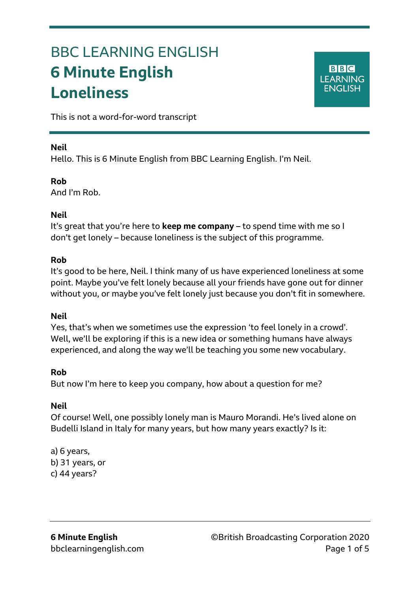# BBC LEARNING ENGLISH **6 Minute English Loneliness**

**BBC LEARNING ENGLISH** 

This is not a word-for-word transcript

## **Neil**

Ξ

Hello. This is 6 Minute English from BBC Learning English. I'm Neil.

## **Rob**

And I'm Rob.

## **Neil**

It's great that you're here to **keep me company** – to spend time with me so I don't get lonely – because loneliness is the subject of this programme.

#### **Rob**

It's good to be here, Neil. I think many of us have experienced loneliness at some point. Maybe you've felt lonely because all your friends have gone out for dinner without you, or maybe you've felt lonely just because you don't fit in somewhere.

## **Neil**

Yes, that's when we sometimes use the expression 'to feel lonely in a crowd'. Well, we'll be exploring if this is a new idea or something humans have always experienced, and along the way we'll be teaching you some new vocabulary.

## **Rob**

But now I'm here to keep you company, how about a question for me?

## **Neil**

Of course! Well, one possibly lonely man is Mauro Morandi. He's lived alone on Budelli Island in Italy for many years, but how many years exactly? Is it:

a) 6 years, b) 31 years, or c) 44 years?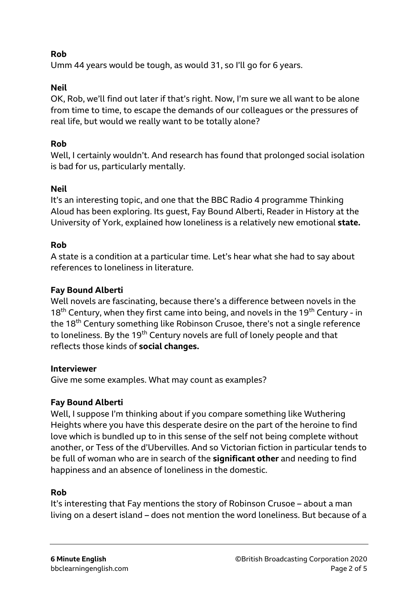## **Rob**

Umm 44 years would be tough, as would 31, so I'll go for 6 years.

# **Neil**

OK, Rob, we'll find out later if that's right. Now, I'm sure we all want to be alone from time to time, to escape the demands of our colleagues or the pressures of real life, but would we really want to be totally alone?

# **Rob**

Well, I certainly wouldn't. And research has found that prolonged social isolation is bad for us, particularly mentally.

# **Neil**

It's an interesting topic, and one that the BBC Radio 4 programme Thinking Aloud has been exploring. Its guest, Fay Bound Alberti, Reader in History at the University of York, explained how loneliness is a relatively new emotional **state.**

# **Rob**

A state is a condition at a particular time. Let's hear what she had to say about references to loneliness in literature.

# **Fay Bound Alberti**

Well novels are fascinating, because there's a difference between novels in the  $18<sup>th</sup>$  Century, when they first came into being, and novels in the 19<sup>th</sup> Century - in the 18<sup>th</sup> Century something like Robinson Crusoe, there's not a single reference to loneliness. By the 19<sup>th</sup> Century novels are full of lonely people and that reflects those kinds of **social changes.** 

## **Interviewer**

Give me some examples. What may count as examples?

## **Fay Bound Alberti**

Well, I suppose I'm thinking about if you compare something like Wuthering Heights where you have this desperate desire on the part of the heroine to find love which is bundled up to in this sense of the self not being complete without another, or Tess of the d'Ubervilles. And so Victorian fiction in particular tends to be full of woman who are in search of the **significant other** and needing to find happiness and an absence of loneliness in the domestic.

# **Rob**

It's interesting that Fay mentions the story of Robinson Crusoe – about a man living on a desert island – does not mention the word loneliness. But because of a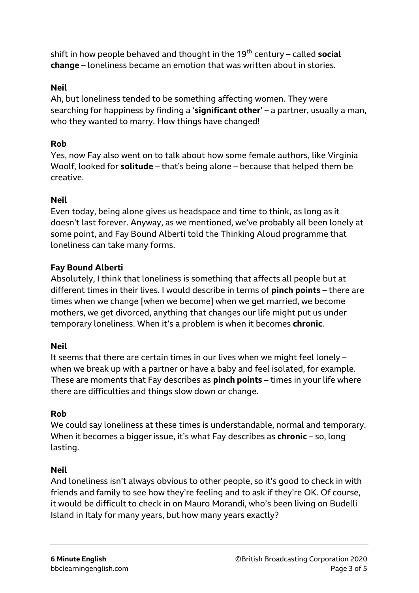shift in how people behaved and thought in the 19<sup>th</sup> century – called **social change** – loneliness became an emotion that was written about in stories.

## **Neil**

Ah, but loneliness tended to be something affecting women. They were searching for happiness by finding a '**significant other**' – a partner, usually a man, who they wanted to marry. How things have changed!

## **Rob**

Yes, now Fay also went on to talk about how some female authors, like Virginia Woolf, looked for **solitude** – that's being alone – because that helped them be creative.

#### **Neil**

Even today, being alone gives us headspace and time to think, as long as it doesn't last forever. Anyway, as we mentioned, we've probably all been lonely at some point, and Fay Bound Alberti told the Thinking Aloud programme that loneliness can take many forms.

#### **Fay Bound Alberti**

Absolutely, I think that loneliness is something that affects all people but at different times in their lives. I would describe in terms of **pinch points** – there are times when we change [when we become] when we get married, we become mothers, we get divorced, anything that changes our life might put us under temporary loneliness. When it's a problem is when it becomes **chronic**.

#### **Neil**

It seems that there are certain times in our lives when we might feel lonely – when we break up with a partner or have a baby and feel isolated, for example. These are moments that Fay describes as **pinch points** – times in your life where there are difficulties and things slow down or change.

#### **Rob**

We could say loneliness at these times is understandable, normal and temporary. When it becomes a bigger issue, it's what Fay describes as **chronic** – so, long lasting.

#### **Neil**

And loneliness isn't always obvious to other people, so it's good to check in with friends and family to see how they're feeling and to ask if they're OK. Of course, it would be difficult to check in on Mauro Morandi, who's been living on Budelli Island in Italy for many years, but how many years exactly?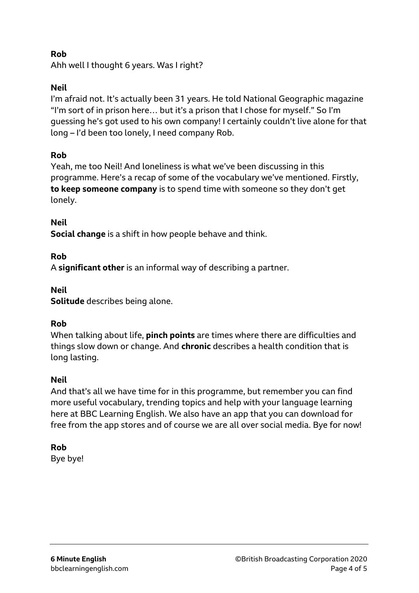# **Rob**

Ahh well I thought 6 years. Was I right?

## **Neil**

I'm afraid not. It's actually been 31 years. He told National Geographic magazine "I'm sort of in prison here… but it's a prison that I chose for myself." So I'm guessing he's got used to his own company! I certainly couldn't live alone for that long – I'd been too lonely, I need company Rob.

## **Rob**

Yeah, me too Neil! And loneliness is what we've been discussing in this programme. Here's a recap of some of the vocabulary we've mentioned. Firstly, **to keep someone company** is to spend time with someone so they don't get lonely.

## **Neil**

**Social change** is a shift in how people behave and think.

## **Rob**

A **significant other** is an informal way of describing a partner.

#### **Neil**

**Solitude** describes being alone.

## **Rob**

When talking about life, **pinch points** are times where there are difficulties and things slow down or change. And **chronic** describes a health condition that is long lasting.

## **Neil**

And that's all we have time for in this programme, but remember you can find more useful vocabulary, trending topics and help with your language learning here at BBC Learning English. We also have an app that you can download for free from the app stores and of course we are all over social media. Bye for now!

## **Rob**

Bye bye!